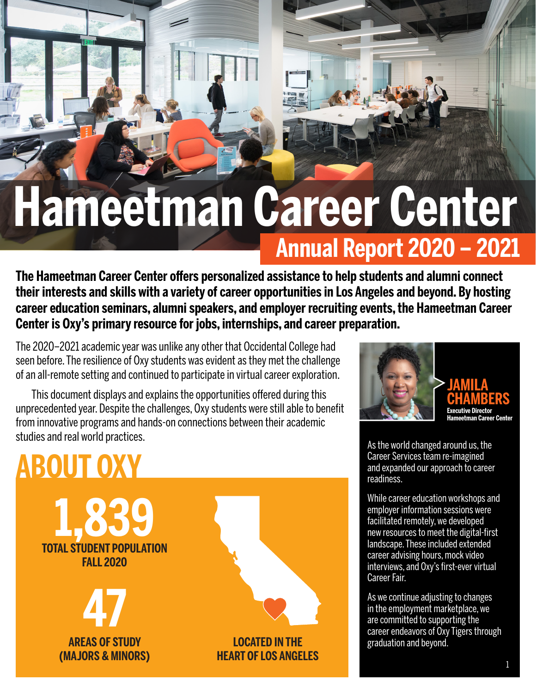# **Hameetman Career Center**

**Annual Report 2020 – 2021**

**The Hameetman Career Center offers personalized assistance to help students and alumni connect their interests and skills with a variety of career opportunities in Los Angeles and beyond. By hosting career education seminars, alumni speakers, and employer recruiting events, the Hameetman Career Center is Oxy's primary resource for jobs, internships, and career preparation.**

The 2020–2021 academic year was unlike any other that Occidental College had seen before. The resilience of Oxy students was evident as they met the challenge of an all-remote setting and continued to participate in virtual career exploration.

This document displays and explains the opportunities offered during this unprecedented year. Despite the challenges, Oxy students were still able to benefit from innovative programs and hands-on connections between their academic studies and real world practices.

## **TOTAL STUDENT POPULATION FALL 2020 1,839 AREAS OF STUDY (MAJORS & MINORS) 47 LOCATED IN THE HEART OF LOS ANGELES ABOUT OXY**



As the world changed around us, the Career Services team re-imagined and expanded our approach to career readiness.

While career education workshops and employer information sessions were facilitated remotely, we developed new resources to meet the digital-first landscape. These included extended career advising hours, mock video interviews, and Oxy's first-ever virtual Career Fair.

As we continue adjusting to changes in the employment marketplace, we are committed to supporting the career endeavors of Oxy Tigers through graduation and beyond.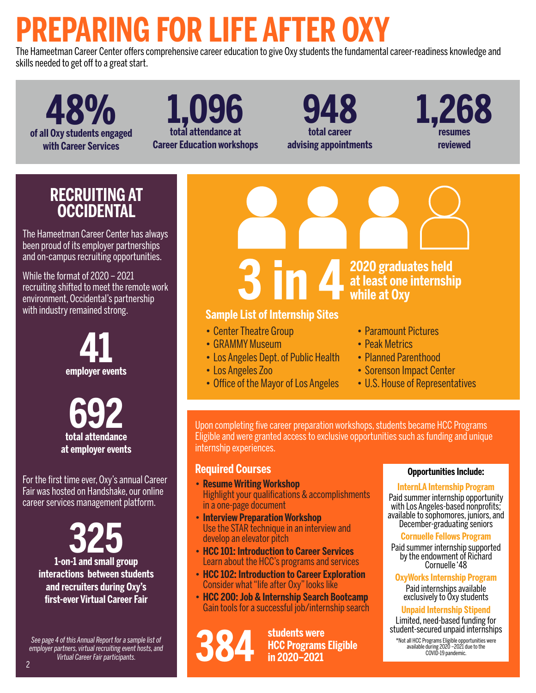## **PREPARING FOR LIFE AFTER OXY**

The Hameetman Career Center offers comprehensive career education to give Oxy students the fundamental career-readiness knowledge and skills needed to get off to a great start.

**of all Oxy students engaged 48% with Career Services**

**1,096 total attendance at Career Education workshops**

**948 total career advising appointments** **1,268 resumes reviewed**

#### **RECRUITING AT OCCIDENTAL**

The Hameetman Career Center has always been proud of its employer partnerships and on-campus recruiting opportunities.

While the format of 2020 – 2021 recruiting shifted to meet the remote work environment, Occidental's partnership with industry remained strong.



**692 total attendance at employer events**

For the first time ever, Oxy's annual Career Fair was hosted on Handshake, our online career services management platform.

> **325 1-on-1 and small group interactions between students and recruiters during Oxy's first-ever Virtual Career Fair**

*See page 4 of this Annual Report for a sample list of employer partners, virtual recruiting event hosts, and Virtual Career Fair participants.*



- Center Theatre Group
- GRAMMY Museum
- Los Angeles Dept. of Public Health
- Los Angeles Zoo
- Office of the Mayor of Los Angeles
- Paramount Pictures
- Peak Metrics
- Planned Parenthood
- Sorenson Impact Center
- U.S. House of Representatives

Upon completing five career preparation workshops, students became HCC Programs Eligible and were granted access to exclusive opportunities such as funding and unique internship experiences.

#### **Required Courses**

- **• Resume Writing Workshop** Highlight your qualifications & accomplishments in a one-page document
- **• Interview Preparation Workshop** Use the STAR technique in an interview and develop an elevator pitch
- **• HCC 101: Introduction to Career Services** Learn about the HCC's programs and services
- **• HCC 102: Introduction to Career Exploration** Consider what "life after Oxy" looks like
- **• HCC 200: Job & Internship Search Bootcamp** Gain tools for a successful job/internship search

**available during 2020**<br>**available during 2020** –2021 due to the **384** COVID-19 pandemic.<br>**384** COVID-19 pandemic.<br>COVID-19 pandemic. **students were HCC Programs Eligible in 2020–2021**

#### **Opportunities Include:**

#### **InternLA Internship Program**

Paid summer internship opportunity with Los Angeles-based nonprofits; available to sophomores, juniors, and December-graduating seniors

#### **Cornuelle Fellows Program**

Paid summer internship supported by the endowment of Richard Cornuelle '48

**OxyWorks Internship Program**

Paid internships available exclusively to Oxy students

#### **Unpaid Internship Stipend**

Limited, need-based funding for student-secured unpaid internships

\*Not all HCC Programs Eligible opportunities were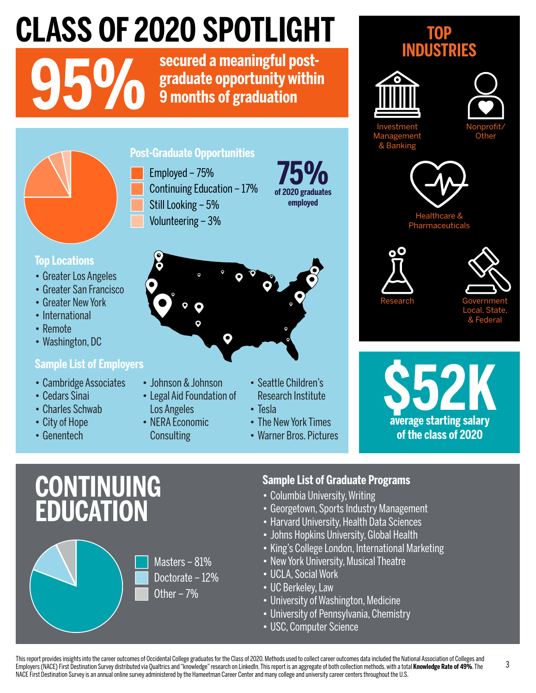## **CLASS OF 2020 SPOTLIGHT**

**950 <b>b secured a meaningful post-**<br>**graduate opportunity within**<br>**9 months of graduation graduate opportunity within 9 months of graduation**



#### **Post-Graduate Opportunities**

Continuing Education – 17% Still Looking – 5% Volunteering – 3% Employed – 75%

#### **of 2020 graduates 75% employed**



- **Top Locations**
- Greater Los Angeles
- Greater San Francisco
- Greater New York
- International
- Remote
- Washington, DC

#### **Sample List of Employers**

- Cambridge Associates
- Cedars Sinai
- Charles Schwab
- City of Hope
- Genentech



- Johnson & Johnson
- Legal Aid Foundation of
- Los Angeles • NERA Economic
- **Consulting**
- Seattle Children's Research Institute
- Tesla
- The New York Times
- Warner Bros. Pictures

#### **TOP INDUSTRIES**





Investment Management & Banking





Healthcare Pharmaceuticals





**\$52K average starting salary of the class of 2020**

## **CONTINUING EDUCATION**



#### **Sample List of Graduate Programs**

- Columbia University, Writing
- Georgetown, Sports Industry Management
- Harvard University, Health Data Sciences
- Johns Hopkins University, Global Health
- King's College London, International Marketing
- New York University, Musical Theatre
- UCLA, Social Work
- UC Berkeley, Law
- University of Washington, Medicine
- University of Pennsylvania, Chemistry
- USC, Computer Science